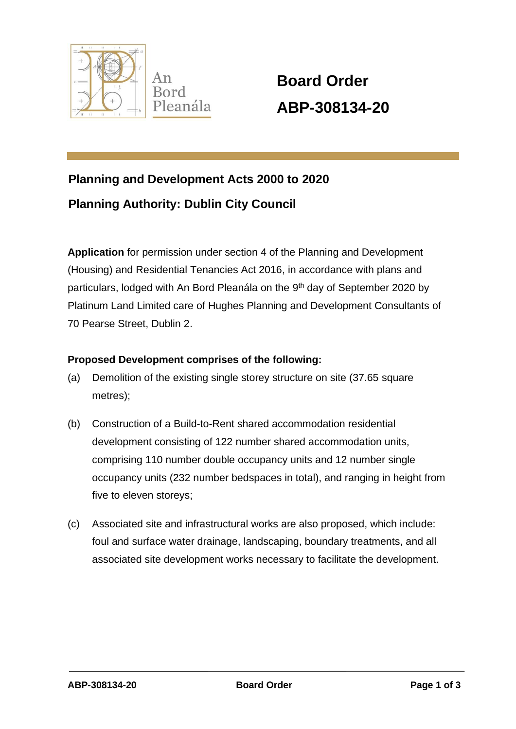

 **Board Order ABP-308134-20**

# **Planning and Development Acts 2000 to 2020 Planning Authority: Dublin City Council**

**Application** for permission under section 4 of the Planning and Development (Housing) and Residential Tenancies Act 2016, in accordance with plans and particulars, lodged with An Bord Pleanála on the 9<sup>th</sup> day of September 2020 by Platinum Land Limited care of Hughes Planning and Development Consultants of 70 Pearse Street, Dublin 2.

### **Proposed Development comprises of the following:**

- (a) Demolition of the existing single storey structure on site (37.65 square metres);
- (b) Construction of a Build-to-Rent shared accommodation residential development consisting of 122 number shared accommodation units, comprising 110 number double occupancy units and 12 number single occupancy units (232 number bedspaces in total), and ranging in height from five to eleven storeys;
- (c) Associated site and infrastructural works are also proposed, which include: foul and surface water drainage, landscaping, boundary treatments, and all associated site development works necessary to facilitate the development.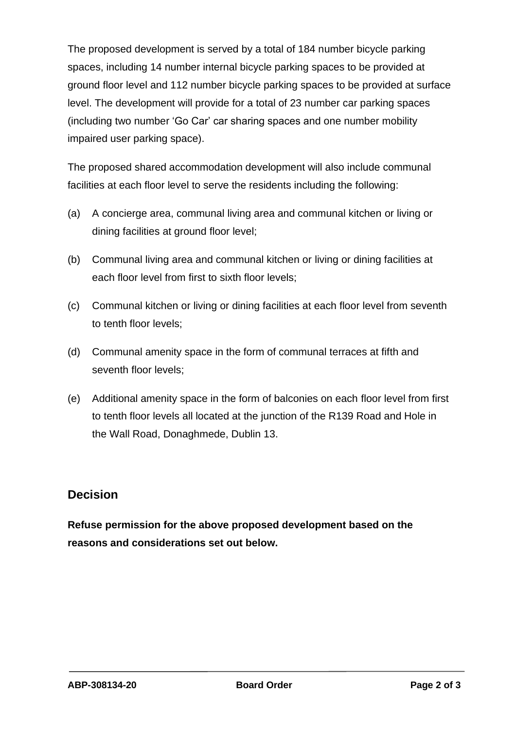The proposed development is served by a total of 184 number bicycle parking spaces, including 14 number internal bicycle parking spaces to be provided at ground floor level and 112 number bicycle parking spaces to be provided at surface level. The development will provide for a total of 23 number car parking spaces (including two number 'Go Car' car sharing spaces and one number mobility impaired user parking space).

The proposed shared accommodation development will also include communal facilities at each floor level to serve the residents including the following:

- (a) A concierge area, communal living area and communal kitchen or living or dining facilities at ground floor level;
- (b) Communal living area and communal kitchen or living or dining facilities at each floor level from first to sixth floor levels;
- (c) Communal kitchen or living or dining facilities at each floor level from seventh to tenth floor levels;
- (d) Communal amenity space in the form of communal terraces at fifth and seventh floor levels;
- (e) Additional amenity space in the form of balconies on each floor level from first to tenth floor levels all located at the junction of the R139 Road and Hole in the Wall Road, Donaghmede, Dublin 13.

## **Decision**

**Refuse permission for the above proposed development based on the reasons and considerations set out below.**